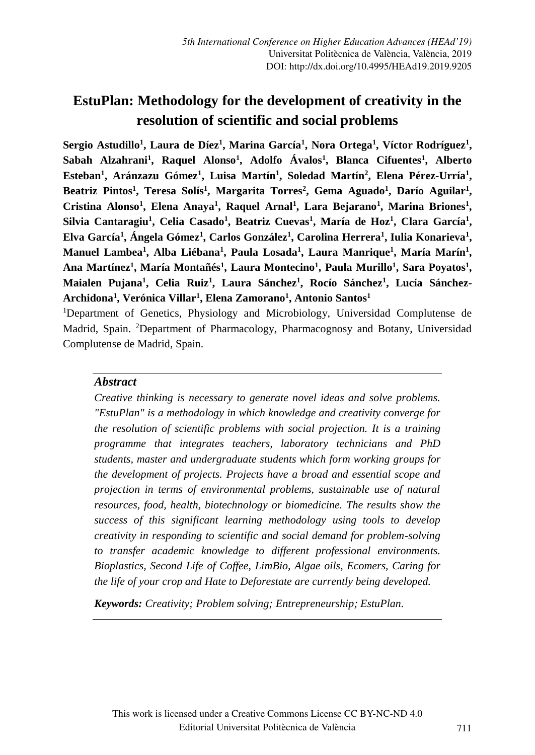# **EstuPlan: Methodology for the development of creativity in the resolution of scientific and social problems**

 $\mathbf{Sergio}\text{ Astudillo}^1, \text{ Laura de Díez}^1, \text{Marina}\text{ García}^1, \text{Nora Ortega}^1, \text{Víctor }\text{Rodríguez}^1,$ **Sabah Alzahrani<sup>1</sup> , Raquel Alonso<sup>1</sup> , Adolfo Ávalos<sup>1</sup> , Blanca Cifuentes<sup>1</sup> , Alberto Esteban<sup>1</sup> , Aránzazu Gómez<sup>1</sup> , Luisa Martín<sup>1</sup> , Soledad Martín<sup>2</sup> , Elena Pérez-Urría 1 , Beatriz Pintos<sup>1</sup> , Teresa Solís<sup>1</sup> , Margarita Torres<sup>2</sup> , Gema Aguado<sup>1</sup> , Darío Aguilar<sup>1</sup> , Cristina Alonso<sup>1</sup> , Elena Anaya<sup>1</sup> , Raquel Arnal<sup>1</sup> , Lara Bejarano<sup>1</sup> , Marina Briones<sup>1</sup> , Silvia Cantaragiu<sup>1</sup> , Celia Casado<sup>1</sup> , Beatriz Cuevas<sup>1</sup> , María de Hoz<sup>1</sup> , Clara García<sup>1</sup> , Elva García<sup>1</sup> , Ángela Gómez<sup>1</sup> , Carlos González<sup>1</sup> , Carolina Herrera<sup>1</sup> , Iulia Konarieva<sup>1</sup> , Manuel Lambea<sup>1</sup> , Alba Liébana<sup>1</sup> , Paula Losada<sup>1</sup> , Laura Manrique<sup>1</sup> , María Marín<sup>1</sup> , Ana Martínez<sup>1</sup> , María Montañés<sup>1</sup> , Laura Montecino<sup>1</sup> , Paula Murillo<sup>1</sup> , Sara Poyatos<sup>1</sup> , Maialen Pujana<sup>1</sup> , Celia Ruiz<sup>1</sup> , Laura Sánchez<sup>1</sup> , Rocío Sánchez<sup>1</sup> , Lucía Sánchez-Archidona<sup>1</sup> , Verónica Villar<sup>1</sup> , Elena Zamorano<sup>1</sup> , Antonio Santos<sup>1</sup>**

<sup>1</sup>Department of Genetics, Physiology and Microbiology, Universidad Complutense de Madrid, Spain. <sup>2</sup>Department of Pharmacology, Pharmacognosy and Botany, Universidad Complutense de Madrid, Spain.

### *Abstract*

*Creative thinking is necessary to generate novel ideas and solve problems. "EstuPlan" is a methodology in which knowledge and creativity converge for the resolution of scientific problems with social projection. It is a training programme that integrates teachers, laboratory technicians and PhD students, master and undergraduate students which form working groups for the development of projects. Projects have a broad and essential scope and projection in terms of environmental problems, sustainable use of natural resources, food, health, biotechnology or biomedicine. The results show the success of this significant learning methodology using tools to develop creativity in responding to scientific and social demand for problem-solving to transfer academic knowledge to different professional environments. Bioplastics, Second Life of Coffee, LimBio, Algae oils, Ecomers, Caring for the life of your crop and Hate to Deforestate are currently being developed.*

*Keywords: Creativity; Problem solving; Entrepreneurship; EstuPlan.*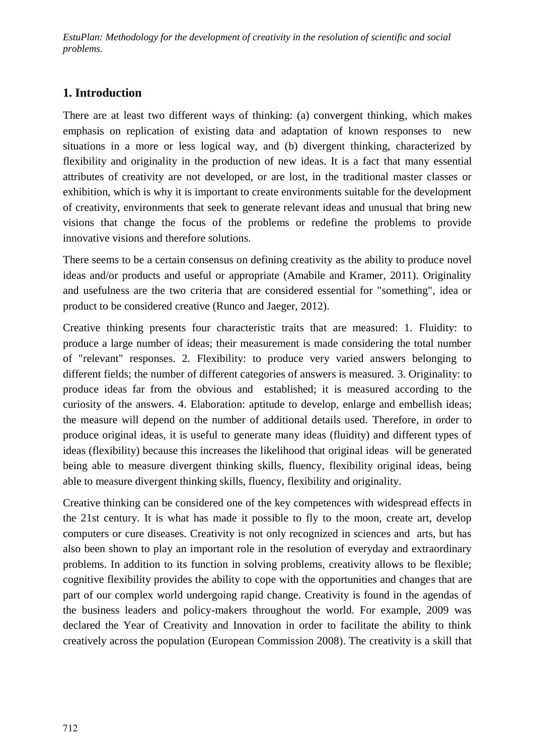*EstuPlan: Methodology for the development of creativity in the resolution of scientific and social problems.*

### **1. Introduction**

There are at least two different ways of thinking: (a) convergent thinking, which makes emphasis on replication of existing data and adaptation of known responses to new situations in a more or less logical way, and (b) divergent thinking, characterized by flexibility and originality in the production of new ideas. It is a fact that many essential attributes of creativity are not developed, or are lost, in the traditional master classes or exhibition, which is why it is important to create environments suitable for the development of creativity, environments that seek to generate relevant ideas and unusual that bring new visions that change the focus of the problems or redefine the problems to provide innovative visions and therefore solutions.

There seems to be a certain consensus on defining creativity as the ability to produce novel ideas and/or products and useful or appropriate (Amabile and Kramer, 2011). Originality and usefulness are the two criteria that are considered essential for "something", idea or product to be considered creative (Runco and Jaeger, 2012).

Creative thinking presents four characteristic traits that are measured: 1. Fluidity: to produce a large number of ideas; their measurement is made considering the total number of "relevant" responses. 2. Flexibility: to produce very varied answers belonging to different fields; the number of different categories of answers is measured. 3. Originality: to produce ideas far from the obvious and established; it is measured according to the curiosity of the answers. 4. Elaboration: aptitude to develop, enlarge and embellish ideas; the measure will depend on the number of additional details used. Therefore, in order to produce original ideas, it is useful to generate many ideas (fluidity) and different types of ideas (flexibility) because this increases the likelihood that original ideas will be generated being able to measure divergent thinking skills, fluency, flexibility original ideas, being able to measure divergent thinking skills, fluency, flexibility and originality.

Creative thinking can be considered one of the key competences with widespread effects in the 21st century. It is what has made it possible to fly to the moon, create art, develop computers or cure diseases. Creativity is not only recognized in sciences and arts, but has also been shown to play an important role in the resolution of everyday and extraordinary problems. In addition to its function in solving problems, creativity allows to be flexible; cognitive flexibility provides the ability to cope with the opportunities and changes that are part of our complex world undergoing rapid change. Creativity is found in the agendas of the business leaders and policy-makers throughout the world. For example, 2009 was declared the Year of Creativity and Innovation in order to facilitate the ability to think creatively across the population (European Commission 2008). The creativity is a skill that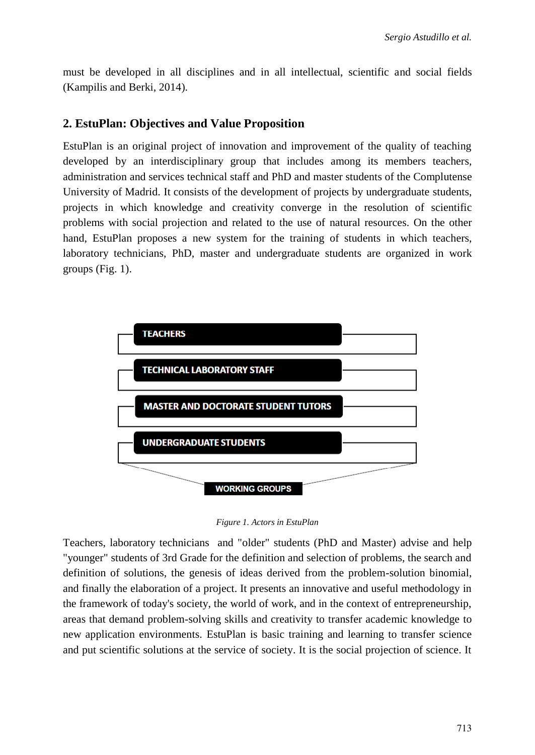must be developed in all disciplines and in all intellectual, scientific and social fields (Kampilis and Berki, 2014).

#### **2. EstuPlan: Objectives and Value Proposition**

EstuPlan is an original project of innovation and improvement of the quality of teaching developed by an interdisciplinary group that includes among its members teachers, administration and services technical staff and PhD and master students of the Complutense University of Madrid. It consists of the development of projects by undergraduate students, projects in which knowledge and creativity converge in the resolution of scientific problems with social projection and related to the use of natural resources. On the other hand, EstuPlan proposes a new system for the training of students in which teachers, laboratory technicians, PhD, master and undergraduate students are organized in work groups (Fig. 1).



*Figure 1. Actors in EstuPlan*

Teachers, laboratory technicians and "older" students (PhD and Master) advise and help "younger" students of 3rd Grade for the definition and selection of problems, the search and definition of solutions, the genesis of ideas derived from the problem-solution binomial, and finally the elaboration of a project. It presents an innovative and useful methodology in the framework of today's society, the world of work, and in the context of entrepreneurship, areas that demand problem-solving skills and creativity to transfer academic knowledge to new application environments. EstuPlan is basic training and learning to transfer science and put scientific solutions at the service of society. It is the social projection of science. It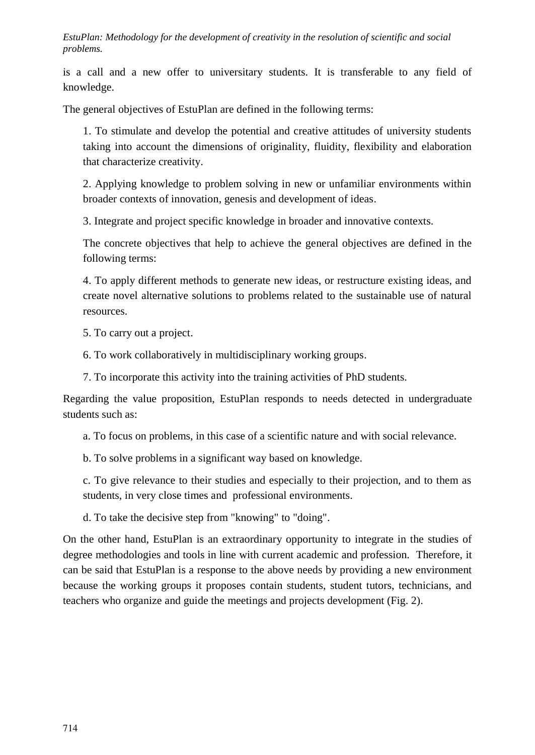*EstuPlan: Methodology for the development of creativity in the resolution of scientific and social problems.*

is a call and a new offer to universitary students. It is transferable to any field of knowledge.

The general objectives of EstuPlan are defined in the following terms:

1. To stimulate and develop the potential and creative attitudes of university students taking into account the dimensions of originality, fluidity, flexibility and elaboration that characterize creativity.

2. Applying knowledge to problem solving in new or unfamiliar environments within broader contexts of innovation, genesis and development of ideas.

3. Integrate and project specific knowledge in broader and innovative contexts.

The concrete objectives that help to achieve the general objectives are defined in the following terms:

4. To apply different methods to generate new ideas, or restructure existing ideas, and create novel alternative solutions to problems related to the sustainable use of natural resources.

5. To carry out a project.

6. To work collaboratively in multidisciplinary working groups.

7. To incorporate this activity into the training activities of PhD students.

Regarding the value proposition, EstuPlan responds to needs detected in undergraduate students such as:

a. To focus on problems, in this case of a scientific nature and with social relevance.

b. To solve problems in a significant way based on knowledge.

c. To give relevance to their studies and especially to their projection, and to them as students, in very close times and professional environments.

d. To take the decisive step from "knowing" to "doing".

On the other hand, EstuPlan is an extraordinary opportunity to integrate in the studies of degree methodologies and tools in line with current academic and profession. Therefore, it can be said that EstuPlan is a response to the above needs by providing a new environment because the working groups it proposes contain students, student tutors, technicians, and teachers who organize and guide the meetings and projects development (Fig. 2).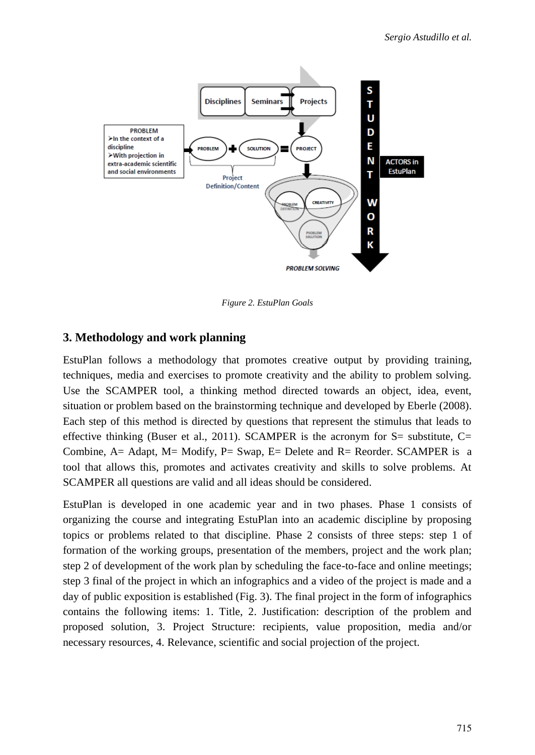

*Figure 2. EstuPlan Goals*

# **3. Methodology and work planning**

EstuPlan follows a methodology that promotes creative output by providing training, techniques, media and exercises to promote creativity and the ability to problem solving. Use the SCAMPER tool, a thinking method directed towards an object, idea, event, situation or problem based on the brainstorming technique and developed by Eberle (2008). Each step of this method is directed by questions that represent the stimulus that leads to effective thinking (Buser et al., 2011). SCAMPER is the acronym for  $S=$  substitute,  $C=$ Combine, A= Adapt, M= Modify, P= Swap, E= Delete and R= Reorder. SCAMPER is a tool that allows this, promotes and activates creativity and skills to solve problems. At SCAMPER all questions are valid and all ideas should be considered.

EstuPlan is developed in one academic year and in two phases. Phase 1 consists of organizing the course and integrating EstuPlan into an academic discipline by proposing topics or problems related to that discipline. Phase 2 consists of three steps: step 1 of formation of the working groups, presentation of the members, project and the work plan; step 2 of development of the work plan by scheduling the face-to-face and online meetings; step 3 final of the project in which an infographics and a video of the project is made and a day of public exposition is established (Fig. 3). The final project in the form of infographics contains the following items: 1. Title, 2. Justification: description of the problem and proposed solution, 3. Project Structure: recipients, value proposition, media and/or necessary resources, 4. Relevance, scientific and social projection of the project.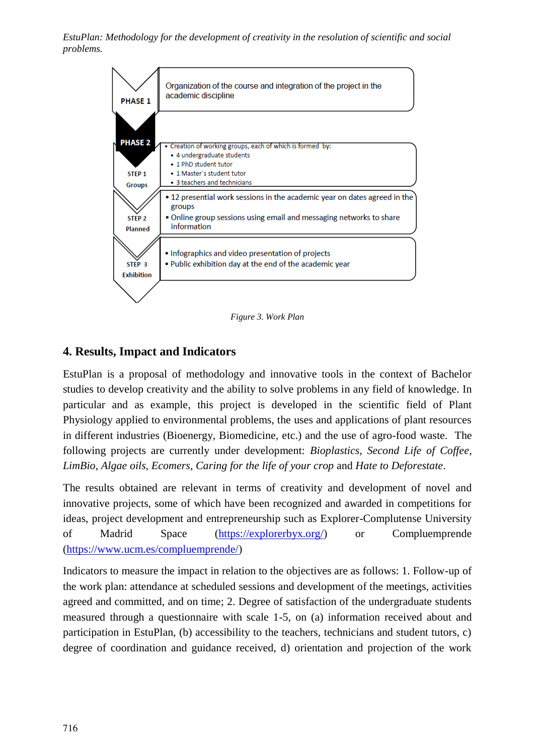*EstuPlan: Methodology for the development of creativity in the resolution of scientific and social problems.*



*Figure 3. Work Plan*

# **4. Results, Impact and Indicators**

EstuPlan is a proposal of methodology and innovative tools in the context of Bachelor studies to develop creativity and the ability to solve problems in any field of knowledge. In particular and as example, this project is developed in the scientific field of Plant Physiology applied to environmental problems, the uses and applications of plant resources in different industries (Bioenergy, Biomedicine, etc.) and the use of agro-food waste. The following projects are currently under development: *Bioplastics, Second Life of Coffee, LimBio, Algae oils, Ecomers, Caring for the life of your crop* and *Hate to Deforestate*.

The results obtained are relevant in terms of creativity and development of novel and innovative projects, some of which have been recognized and awarded in competitions for ideas, project development and entrepreneurship such as Explorer-Complutense University of Madrid Space (https://explorerbyx.org/) or Compluemprende (https://www.ucm.es/compluemprende/)

Indicators to measure the impact in relation to the objectives are as follows: 1. Follow-up of the work plan: attendance at scheduled sessions and development of the meetings, activities agreed and committed, and on time; 2. Degree of satisfaction of the undergraduate students measured through a questionnaire with scale 1-5, on (a) information received about and participation in EstuPlan, (b) accessibility to the teachers, technicians and student tutors, c) degree of coordination and guidance received, d) orientation and projection of the work